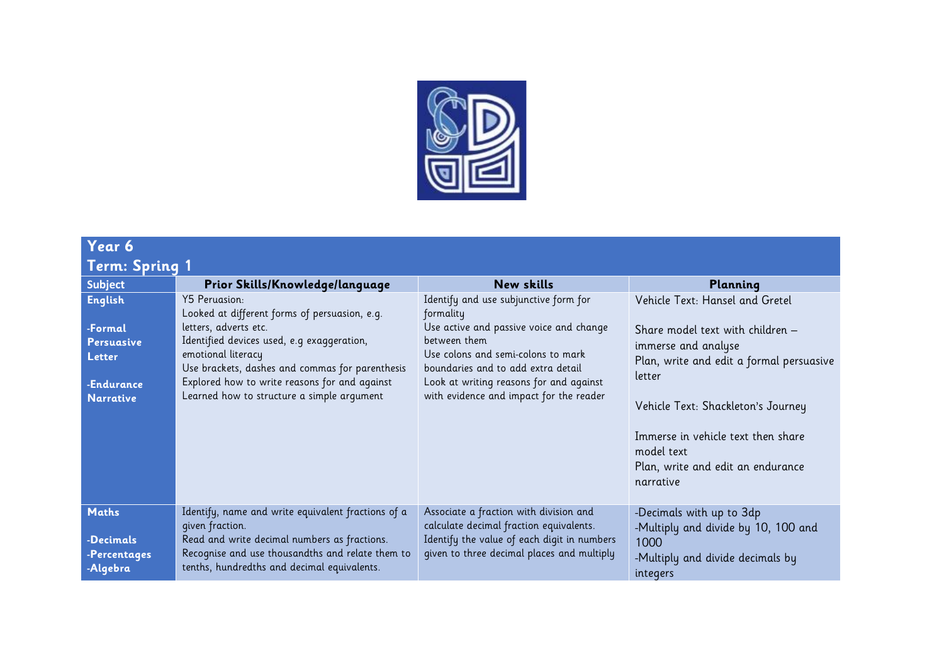

| Year 6                                                                              |                                                                                                                                                                                                                                                                                                               |                                                                                                                                                                                                                                                                                 |                                                                                                                                                                                                                                                                                              |  |  |  |  |
|-------------------------------------------------------------------------------------|---------------------------------------------------------------------------------------------------------------------------------------------------------------------------------------------------------------------------------------------------------------------------------------------------------------|---------------------------------------------------------------------------------------------------------------------------------------------------------------------------------------------------------------------------------------------------------------------------------|----------------------------------------------------------------------------------------------------------------------------------------------------------------------------------------------------------------------------------------------------------------------------------------------|--|--|--|--|
| Term: Spring 1                                                                      |                                                                                                                                                                                                                                                                                                               |                                                                                                                                                                                                                                                                                 |                                                                                                                                                                                                                                                                                              |  |  |  |  |
| <b>Subject</b>                                                                      | Prior Skills/Knowledge/language                                                                                                                                                                                                                                                                               | <b>New skills</b>                                                                                                                                                                                                                                                               | Planning                                                                                                                                                                                                                                                                                     |  |  |  |  |
| English<br>-Formal<br><b>Persuasive</b><br>Letter<br>-Endurance<br><b>Narrative</b> | Y5 Peruasion:<br>Looked at different forms of persuasion, e.g.<br>letters, adverts etc.<br>Identified devices used, e.g exaggeration,<br>emotional literacy<br>Use brackets, dashes and commas for parenthesis<br>Explored how to write reasons for and against<br>Learned how to structure a simple argument | Identify and use subjunctive form for<br>formality<br>Use active and passive voice and change<br>between them<br>Use colons and semi-colons to mark<br>boundaries and to add extra detail<br>Look at writing reasons for and against<br>with evidence and impact for the reader | Vehicle Text: Hansel and Gretel<br>Share model text with children –<br>immerse and analyse<br>Plan, write and edit a formal persuasive<br>letter<br>Vehicle Text: Shackleton's Journey<br>Immerse in vehicle text then share<br>model text<br>Plan, write and edit an endurance<br>narrative |  |  |  |  |
| <b>Maths</b><br>-Decimals<br>-Percentages<br>-Algebra                               | Identify, name and write equivalent fractions of a<br>given fraction.<br>Read and write decimal numbers as fractions.<br>Recognise and use thousandths and relate them to<br>tenths, hundredths and decimal equivalents.                                                                                      | Associate a fraction with division and<br>calculate decimal fraction equivalents.<br>Identify the value of each digit in numbers<br>given to three decimal places and multiply                                                                                                  | -Decimals with up to 3dp<br>-Multiply and divide by 10, 100 and<br>1000<br>-Multiply and divide decimals by<br>integers                                                                                                                                                                      |  |  |  |  |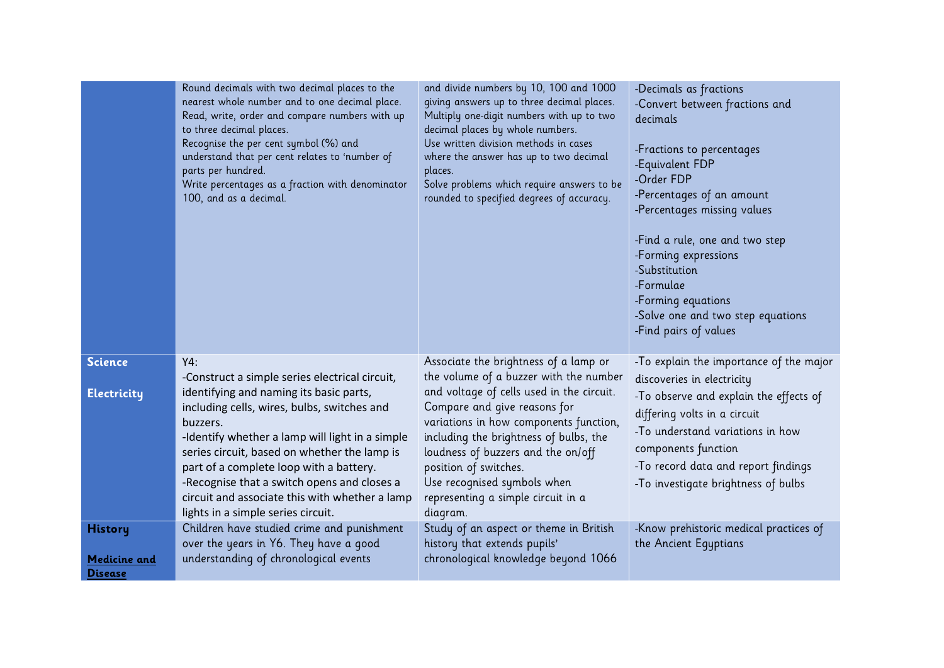|                                                  | Round decimals with two decimal places to the<br>nearest whole number and to one decimal place.<br>Read, write, order and compare numbers with up<br>to three decimal places.<br>Recognise the per cent symbol (%) and<br>understand that per cent relates to 'number of<br>parts per hundred.<br>Write percentages as a fraction with denominator<br>100, and as a decimal.                                                                     | and divide numbers by 10, 100 and 1000<br>giving answers up to three decimal places.<br>Multiply one-digit numbers with up to two<br>decimal places by whole numbers.<br>Use written division methods in cases<br>where the answer has up to two decimal<br>places.<br>Solve problems which require answers to be<br>rounded to specified degrees of accuracy.                                   | -Decimals as fractions<br>-Convert between fractions and<br>decimals<br>-Fractions to percentages<br>-Equivalent FDP<br>-Order FDP<br>-Percentages of an amount<br>-Percentages missing values<br>-Find a rule, one and two step<br>-Forming expressions<br>-Substitution<br>-Formulae<br>-Forming equations<br>-Solve one and two step equations<br>-Find pairs of values |
|--------------------------------------------------|--------------------------------------------------------------------------------------------------------------------------------------------------------------------------------------------------------------------------------------------------------------------------------------------------------------------------------------------------------------------------------------------------------------------------------------------------|--------------------------------------------------------------------------------------------------------------------------------------------------------------------------------------------------------------------------------------------------------------------------------------------------------------------------------------------------------------------------------------------------|----------------------------------------------------------------------------------------------------------------------------------------------------------------------------------------------------------------------------------------------------------------------------------------------------------------------------------------------------------------------------|
| <b>Science</b><br><b>Electricity</b>             | Y4:<br>-Construct a simple series electrical circuit,<br>identifying and naming its basic parts,<br>including cells, wires, bulbs, switches and<br>buzzers.<br>-Identify whether a lamp will light in a simple<br>series circuit, based on whether the lamp is<br>part of a complete loop with a battery.<br>-Recognise that a switch opens and closes a<br>circuit and associate this with whether a lamp<br>lights in a simple series circuit. | Associate the brightness of a lamp or<br>the volume of a buzzer with the number<br>and voltage of cells used in the circuit.<br>Compare and give reasons for<br>variations in how components function,<br>including the brightness of bulbs, the<br>loudness of buzzers and the on/off<br>position of switches.<br>Use recognised symbols when<br>representing a simple circuit in a<br>diagram. | -To explain the importance of the major<br>discoveries in electricity<br>-To observe and explain the effects of<br>differing volts in a circuit<br>-To understand variations in how<br>components function<br>-To record data and report findings<br>-To investigate brightness of bulbs                                                                                   |
| <b>History</b><br>Medicine and<br><b>Disease</b> | Children have studied crime and punishment<br>over the years in Y6. They have a good<br>understanding of chronological events                                                                                                                                                                                                                                                                                                                    | Study of an aspect or theme in British<br>history that extends pupils'<br>chronological knowledge beyond 1066                                                                                                                                                                                                                                                                                    | -Know prehistoric medical practices of<br>the Ancient Equptians                                                                                                                                                                                                                                                                                                            |